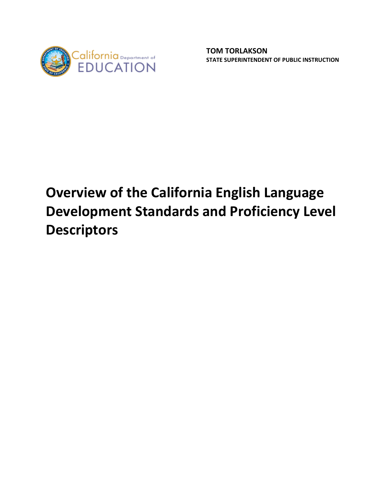

# **Overview of the California English Language Development Standards and Proficiency Level Descriptors**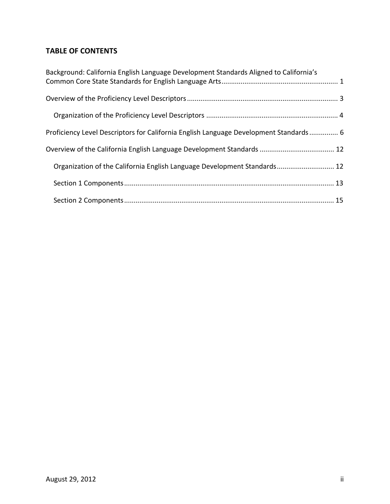# **TABLE OF CONTENTS**

| Background: California English Language Development Standards Aligned to California's |  |
|---------------------------------------------------------------------------------------|--|
|                                                                                       |  |
|                                                                                       |  |
| Proficiency Level Descriptors for California English Language Development Standards 6 |  |
|                                                                                       |  |
| Organization of the California English Language Development Standards 12              |  |
|                                                                                       |  |
|                                                                                       |  |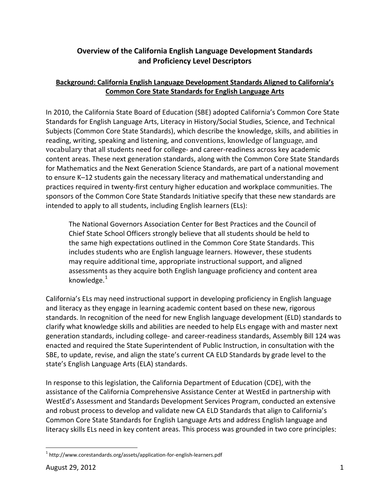## **Overview of the California English Language Development Standards and Proficiency Level Descriptors**

## **Background: California English Language Development Standards Aligned to California's Common Core State Standards for English Language Arts**

<span id="page-2-0"></span>In 2010, the California State Board of Education (SBE) adopted California's Common Core State Standards for English Language Arts, Literacy in History/Social Studies, Science, and Technical Subjects (Common Core State Standards), which describe the knowledge, skills, and abilities in reading, writing, speaking and listening, and conventions, knowledge of language, and vocabulary that all students need for college‐ and career‐readiness across key academic content areas. These next generation standards, along with the Common Core State Standards for Mathematics and the Next Generation Science Standards, are part of a national movement to ensure K–12 students gain the necessary literacy and mathematical understanding and practices required in twenty‐first century higher education and workplace communities. The sponsors of the Common Core State Standards Initiative specify that these new standards are intended to apply to all students, including English learners (ELs):

The National Governors Association Center for Best Practices and the Council of Chief State School Officers strongly believe that all students should be held to the same high expectations outlined in the Common Core State Standards. This includes students who are English language learners. However, these students may require additional time, appropriate instructional support, and aligned assessments as they acquire both English language proficiency and content area knowledge. $1$ 

California's ELs may need instructional support in developing proficiency in English language and literacy as they engage in learning academic content based on these new, rigorous standards. In recognition of the need for new English language development (ELD) standards to clarify what knowledge skills and abilities are needed to help ELs engage with and master next generation standards, including college‐ and career‐readiness standards, Assembly Bill 124 was enacted and required the State Superintendent of Public Instruction, in consultation with the SBE, to update, revise, and align the state's current CA ELD Standards by grade level to the state's English Language Arts (ELA) standards.

In response to this legislation, the California Department of Education (CDE), with the assistance of the California Comprehensive Assistance Center at WestEd in partnership with WestEd's Assessment and Standards Development Services Program, conducted an extensive and robust process to develop and validate new CA ELD Standards that align to California's Common Core State Standards for English Language Arts and address English language and literacy skills ELs need in key content areas. This process was grounded in two core principles:

<span id="page-2-1"></span> <sup>1</sup> http://www.corestandards.org/assets/application‐for‐english‐learners.pdf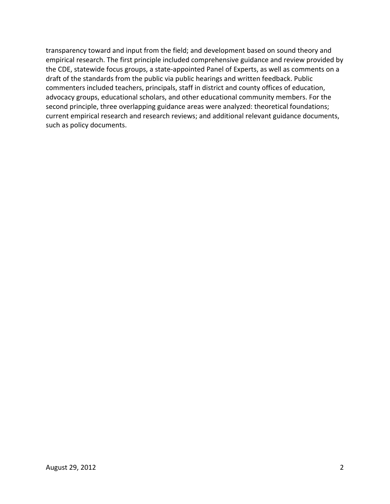transparency toward and input from the field; and development based on sound theory and empirical research. The first principle included comprehensive guidance and review provided by the CDE, statewide focus groups, a state‐appointed Panel of Experts, as well as comments on a draft of the standards from the public via public hearings and written feedback. Public commenters included teachers, principals, staff in district and county offices of education, advocacy groups, educational scholars, and other educational community members. For the second principle, three overlapping guidance areas were analyzed: theoretical foundations; current empirical research and research reviews; and additional relevant guidance documents, such as policy documents.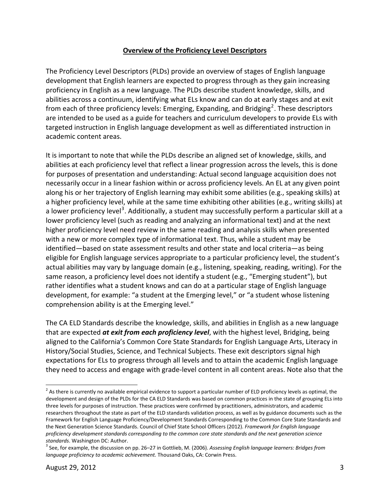## **Overview of the Proficiency Level Descriptors**

<span id="page-4-0"></span>The Proficiency Level Descriptors (PLDs) provide an overview of stages of English language development that English learners are expected to progress through as they gain increasing proficiency in English as a new language. The PLDs describe student knowledge, skills, and abilities across a continuum, identifying what ELs know and can do at early stages and at exit from each of three proficiency levels: Emerging, Expanding, and Bridging<sup>[2](#page-4-1)</sup>. These descriptors are intended to be used as a guide for teachers and curriculum developers to provide ELs w ith targeted instruction in English language development as well as differentiated instruction in academic content areas.

It is important to note that while the PLDs describe an aligned set of knowledge, skills, and abilities at each proficiency level that reflect a linear progression across the levels, this is done for purposes of presentation and understanding: Actual second language acquisition does not necessarily occur in a linear fashion within or across proficiency levels. An EL at any given point along his or her trajectory of English learning may exhibit some abilities (e.g., speaking skills) at a higher proficiency level, while at the same time exhibiting other abilities (e.g., writing skills) at a lower proficiency level<sup>[3](#page-4-2)</sup>. Additionally, a student may successfully perform a particular skill at a lower proficiency level (such as reading and analyzing an informational text) and at the next higher proficiency level need review in the same reading and analysis skills when presented with a new or more complex type of informational text. Thus, while a student may be identified—based on state assessment results and other state and local criteria—as being eligible for English language services appropriate to a particular proficiency level, the student's actual abilities may vary by language domain (e.g., listening, speaking, reading, writing). For the same reason, a proficiency level does not identify a student (e.g., "Emerging student"), but rather identifies what a student knows and can do at a particular stage of English language development, for example: "a student at the Emerging level," or "a student whose listening comprehension ability is at the Emerging level."

they need to access and engag e with grade‐level content in all content areas. Note also that the The CA ELD Standards describe the knowledge, skills, and abilities in English as a new language that are expected *at exit from each proficiency level*, with the highest level, Bridging, being aligned to the California's Common Core State Standards for English Language Arts, Literacy in History/Social Studies, Science, and Technical Subjects. These exit descriptors signal high expectations for ELs to progress through all levels and to attain the academic English language

<span id="page-4-1"></span> <sup>2</sup> As there is currently no available empirical evidence to support a particular number of ELD proficiency levels as optimal, the development and design of the PLDs for the CA ELD Standards was based on common practices in the state of grouping ELs into three levels for purposes of instruction. These practices were confirmed by practitioners, administrators, and academic researchers throughout the state as part of the ELD standards validation process, as well as by guidance documents such as the Framework for English Language Proficiency/Development Standards Corresponding to the Common Core State Standards and the Next Generation Science Standards. Council of Chief State School Officers (2012). *Framework for English language proficiency development standards corresponding to the common core state standards and the next generation science*

<span id="page-4-2"></span>*standards*. Washington DC: Author. <sup>3</sup> See, for example, the discussion on pp. 26–27 in Gottlieb, M. (2006). *Assessing English language learners: Bridges from language proficiency to academic achievement.* Thousand Oaks, CA: Corwin Press.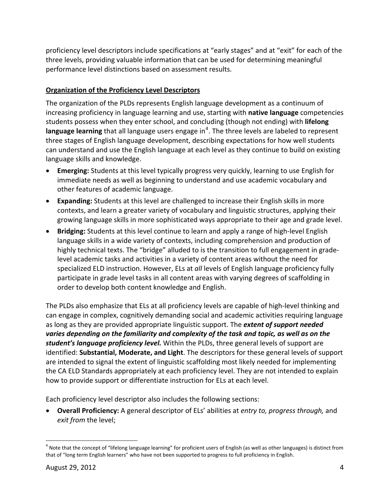proficiency level descriptors include specifications at "early stages" and at "exit" for each of the three levels, providing valuable information that can be used for determining meaningful performance level distinctions based on assessment results.

## <span id="page-5-0"></span>**Organization of the Proficiency Level Descriptors**

The organization of the PLDs represents English language development as a continuum of increasing proficiency in language learning and use, starting with **native language** competencies students possess when they enter school, and concluding (though not ending) with **lifelong language learning** that all language users engage in<sup>[4](#page-5-1)</sup>. The three levels are labeled to represent three stages of English language development, describing expectations for how well students can understand and use the English language at each level as they continue to build on existing language skills and knowledge.

- **Emerging:** Students at this level typically progress very quickly, learning to use English for immediate needs as well as beginning to understand and use academic vocabulary and other features of academic language.
- **Expanding:** Students at this level are challenged to increase their English skills in more contexts, and learn a greater variety of vocabulary and linguistic structures, applying their growing language skills in more sophisticated ways appropriate to their age and grade level.
- **Bridging:** Students at this level continue to learn and apply a range of high-level English language skills in a wide variety of contexts, including comprehension and production of highly technical texts. The "bridge" alluded to is the transition to full engagement in grade‐ level academic tasks and activities in a variety of content areas without the need for specialized ELD instruction. However, ELs at *all* levels of English language proficiency fully participate in grade level tasks in all content areas with varying degrees of scaffolding in order to develop both content knowledge and English.

The PLDs also emphasize that ELs at all proficiency levels are capable of high‐level thinking and can engage in complex, cognitively demanding social and academic activities requiring language as long as they are provided appropriate linguistic support. The *extent of support needed varies depending on the familiarity and complexity of the task and topic, as well as on the student's language proficiency level.* Within the PLDs, three general levels of support are identified: **Substantial, Moderate, and Light**. The descriptors for these general levels of support are intended to signal the extent of linguistic scaffolding most likely needed for implementing the CA ELD Standards appropriately at each proficiency level. They are not intended to explain how to provide support or differentiate instruction for ELs at each level.

Each proficiency level descriptor also includes the following sections:

 **Overall Proficiency:** A general descriptor of ELs' abilities at *entry to, progress through,* and *exit from* the level;

<span id="page-5-1"></span> $4$  Note that the concept of "lifelong language learning" for proficient users of English (as well as other languages) is distinct from that of "long term English learners" who have not been supported to progress to full proficiency in English.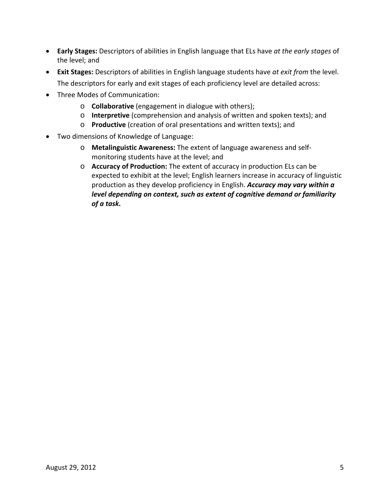- **Early Stages:** Descriptors of abilities in English language that ELs have *at the early stages* of the level; and
- **Exit Stages:** Descriptors of abilities in English language students have *at exit from* the level. The descriptors for early and exit stages of each proficiency level are detailed across:
- Three Modes of Communication:
	- o **Collaborative** (engagement in dialogue with others);
	- o **Interpretive** (comprehension and analysis of written and spoken texts); and
	- o **Productive** (creation of oral presentations and written texts); and
- Two dimensions of Knowledge of Language:
	- o **Metalinguistic Awareness:** The extent of language awareness and self‐ monitoring students have at the level; and
	- o **Accuracy of Production:** The extent of accuracy in production ELs can be expected to exhibit at the level; English learners increase in accuracy of linguistic production as they develop proficiency in English. *Accuracy may vary within a level depending on context, such as extent of cognitive demand or familiarity of a task.*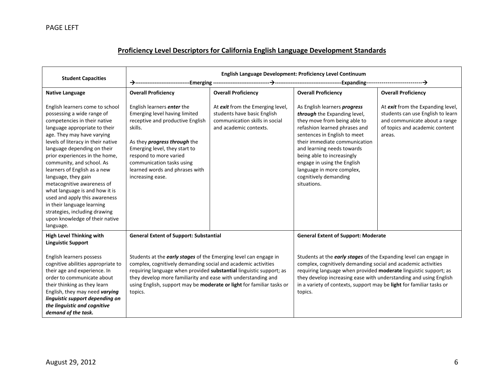<span id="page-7-0"></span>

| <b>Student Capacities</b>                                                                                                                                                                                                                                                                                                                                                                                                                                                                                                                                              | English Language Development: Proficiency Level Continuum                                                                                                                                                                                                                                                                                                     |                                                                                                                             |                                                                                                                                                                                                                                                                                                                                                                |                                                                                                                                                     |
|------------------------------------------------------------------------------------------------------------------------------------------------------------------------------------------------------------------------------------------------------------------------------------------------------------------------------------------------------------------------------------------------------------------------------------------------------------------------------------------------------------------------------------------------------------------------|---------------------------------------------------------------------------------------------------------------------------------------------------------------------------------------------------------------------------------------------------------------------------------------------------------------------------------------------------------------|-----------------------------------------------------------------------------------------------------------------------------|----------------------------------------------------------------------------------------------------------------------------------------------------------------------------------------------------------------------------------------------------------------------------------------------------------------------------------------------------------------|-----------------------------------------------------------------------------------------------------------------------------------------------------|
|                                                                                                                                                                                                                                                                                                                                                                                                                                                                                                                                                                        |                                                                                                                                                                                                                                                                                                                                                               | ---Emerging --------------------------                                                                                      |                                                                                                                                                                                                                                                                                                                                                                |                                                                                                                                                     |
| <b>Native Language</b>                                                                                                                                                                                                                                                                                                                                                                                                                                                                                                                                                 | <b>Overall Proficiency</b>                                                                                                                                                                                                                                                                                                                                    | <b>Overall Proficiency</b>                                                                                                  | <b>Overall Proficiency</b>                                                                                                                                                                                                                                                                                                                                     | <b>Overall Proficiency</b>                                                                                                                          |
| English learners come to school<br>possessing a wide range of<br>competencies in their native<br>language appropriate to their<br>age. They may have varying<br>levels of literacy in their native<br>language depending on their<br>prior experiences in the home,<br>community, and school. As<br>learners of English as a new<br>language, they gain<br>metacognitive awareness of<br>what language is and how it is<br>used and apply this awareness<br>in their language learning<br>strategies, including drawing<br>upon knowledge of their native<br>language. | English learners enter the<br>Emerging level having limited<br>receptive and productive English<br>skills.<br>As they <i>progress through</i> the<br>Emerging level, they start to<br>respond to more varied<br>communication tasks using<br>learned words and phrases with<br>increasing ease.                                                               | At exit from the Emerging level,<br>students have basic English<br>communication skills in social<br>and academic contexts. | As English learners progress<br>through the Expanding level,<br>they move from being able to<br>refashion learned phrases and<br>sentences in English to meet<br>their immediate communication<br>and learning needs towards<br>being able to increasingly<br>engage in using the English<br>language in more complex,<br>cognitively demanding<br>situations. | At exit from the Expanding level,<br>students can use English to learn<br>and communicate about a range<br>of topics and academic content<br>areas. |
| <b>High Level Thinking with</b><br><b>Linguistic Support</b>                                                                                                                                                                                                                                                                                                                                                                                                                                                                                                           | <b>General Extent of Support: Substantial</b>                                                                                                                                                                                                                                                                                                                 |                                                                                                                             | <b>General Extent of Support: Moderate</b>                                                                                                                                                                                                                                                                                                                     |                                                                                                                                                     |
| English learners possess<br>cognitive abilities appropriate to<br>their age and experience. In<br>order to communicate about<br>their thinking as they learn<br>English, they may need varying<br>linguistic support depending on<br>the linguistic and cognitive<br>demand of the task.                                                                                                                                                                                                                                                                               | Students at the early stages of the Emerging level can engage in<br>complex, cognitively demanding social and academic activities<br>requiring language when provided substantial linguistic support; as<br>they develop more familiarity and ease with understanding and<br>using English, support may be moderate or light for familiar tasks or<br>topics. |                                                                                                                             | Students at the early stages of the Expanding level can engage in<br>complex, cognitively demanding social and academic activities<br>requiring language when provided moderate linguistic support; as<br>they develop increasing ease with understanding and using English<br>in a variety of contexts, support may be light for familiar tasks or<br>topics. |                                                                                                                                                     |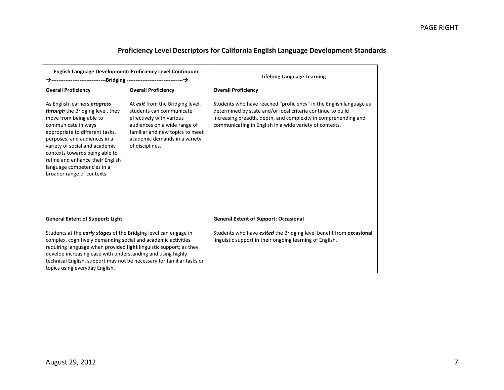| <b>English Language Development: Proficiency Level Continuum</b>                                                                                                                                                                                                                                                                                                                         |                                                                                                                                                                                                                 | <b>Lifelong Language Learning</b>                                                                                                                                                                                                                              |
|------------------------------------------------------------------------------------------------------------------------------------------------------------------------------------------------------------------------------------------------------------------------------------------------------------------------------------------------------------------------------------------|-----------------------------------------------------------------------------------------------------------------------------------------------------------------------------------------------------------------|----------------------------------------------------------------------------------------------------------------------------------------------------------------------------------------------------------------------------------------------------------------|
| <b>Overall Proficiency</b>                                                                                                                                                                                                                                                                                                                                                               | <b>Overall Proficiency</b>                                                                                                                                                                                      | <b>Overall Proficiency</b>                                                                                                                                                                                                                                     |
| As English learners progress<br>through the Bridging level, they<br>move from being able to<br>communicate in ways<br>appropriate to different tasks,<br>purposes, and audiences in a<br>variety of social and academic<br>contexts towards being able to<br>refine and enhance their English<br>language competencies in a<br>broader range of contexts.                                | At exit from the Bridging level,<br>students can communicate<br>effectively with various<br>audiences on a wide range of<br>familiar and new topics to meet<br>academic demands in a variety<br>of disciplines. | Students who have reached "proficiency" in the English language as<br>determined by state and/or local criteria continue to build<br>increasing breadth, depth, and complexity in comprehending and<br>communicating in English in a wide variety of contexts. |
| <b>General Extent of Support: Light</b>                                                                                                                                                                                                                                                                                                                                                  |                                                                                                                                                                                                                 | <b>General Extent of Support: Occasional</b>                                                                                                                                                                                                                   |
| Students at the <b>early stages</b> of the Bridging level can engage in<br>complex, cognitively demanding social and academic activities<br>requiring language when provided light linguistic support; as they<br>develop increasing ease with understanding and using highly<br>technical English, support may not be necessary for familiar tasks or<br>topics using everyday English. |                                                                                                                                                                                                                 | Students who have exited the Bridging level benefit from occasional<br>linguistic support in their ongoing learning of English.                                                                                                                                |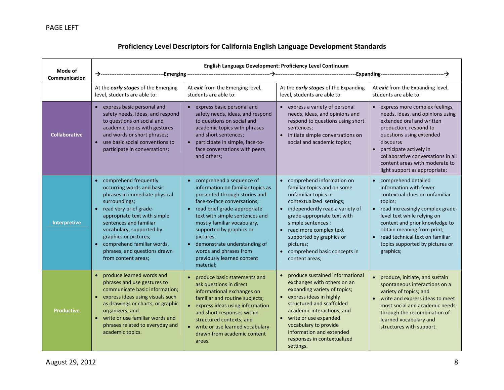| Mode of<br>Communication | English Language Development: Proficiency Level Continuum                                                                                                                                                                                                                                                                                                                 |                                                                                                                                                                                                                                                                                                                                                                                                                     |                                                                                                                                                                                                                                                                                                                                       |                                                                                                                                                                                                                                                                                                                     |
|--------------------------|---------------------------------------------------------------------------------------------------------------------------------------------------------------------------------------------------------------------------------------------------------------------------------------------------------------------------------------------------------------------------|---------------------------------------------------------------------------------------------------------------------------------------------------------------------------------------------------------------------------------------------------------------------------------------------------------------------------------------------------------------------------------------------------------------------|---------------------------------------------------------------------------------------------------------------------------------------------------------------------------------------------------------------------------------------------------------------------------------------------------------------------------------------|---------------------------------------------------------------------------------------------------------------------------------------------------------------------------------------------------------------------------------------------------------------------------------------------------------------------|
|                          | At the <i>early stages</i> of the Emerging<br>level, students are able to:                                                                                                                                                                                                                                                                                                | At exit from the Emerging level,<br>students are able to:                                                                                                                                                                                                                                                                                                                                                           | At the early stages of the Expanding<br>level, students are able to:                                                                                                                                                                                                                                                                  | At exit from the Expanding level,<br>students are able to:                                                                                                                                                                                                                                                          |
| <b>Collaborative</b>     | express basic personal and<br>$\bullet$<br>safety needs, ideas, and respond<br>to questions on social and<br>academic topics with gestures<br>and words or short phrases;<br>use basic social conventions to<br>$\bullet$<br>participate in conversations;                                                                                                                | • express basic personal and<br>safety needs, ideas, and respond<br>to questions on social and<br>academic topics with phrases<br>and short sentences;<br>participate in simple, face-to-<br>$\bullet$<br>face conversations with peers<br>and others;                                                                                                                                                              | • express a variety of personal<br>needs, ideas, and opinions and<br>respond to questions using short<br>sentences;<br>initiate simple conversations on<br>social and academic topics;                                                                                                                                                | express more complex feelings,<br>needs, ideas, and opinions using<br>extended oral and written<br>production; respond to<br>questions using extended<br>discourse<br>participate actively in<br>$\bullet$<br>collaborative conversations in all<br>content areas with moderate to<br>light support as appropriate; |
| Interpretive             | comprehend frequently<br>$\bullet$<br>occurring words and basic<br>phrases in immediate physical<br>surroundings;<br>read very brief grade-<br>$\bullet$<br>appropriate text with simple<br>sentences and familiar<br>vocabulary, supported by<br>graphics or pictures;<br>comprehend familiar words,<br>$\bullet$<br>phrases, and questions drawn<br>from content areas; | comprehend a sequence of<br>$\bullet$<br>information on familiar topics as<br>presented through stories and<br>face-to-face conversations;<br>read brief grade-appropriate<br>$\bullet$<br>text with simple sentences and<br>mostly familiar vocabulary,<br>supported by graphics or<br>pictures;<br>demonstrate understanding of<br>$\bullet$<br>words and phrases from<br>previously learned content<br>material; | comprehend information on<br>familiar topics and on some<br>unfamiliar topics in<br>contextualized settings;<br>independently read a variety of<br>grade-appropriate text with<br>simple sentences;<br>read more complex text<br>$\bullet$<br>supported by graphics or<br>pictures;<br>comprehend basic concepts in<br>content areas; | comprehend detailed<br>information with fewer<br>contextual clues on unfamiliar<br>topics;<br>read increasingly complex grade-<br>level text while relying on<br>context and prior knowledge to<br>obtain meaning from print;<br>read technical text on familiar<br>topics supported by pictures or<br>graphics;    |
| <b>Productive</b>        | produce learned words and<br>$\bullet$<br>phrases and use gestures to<br>communicate basic information;<br>express ideas using visuals such<br>$\bullet$<br>as drawings or charts, or graphic<br>organizers; and<br>write or use familiar words and<br>phrases related to everyday and<br>academic topics.                                                                | produce basic statements and<br>ask questions in direct<br>informational exchanges on<br>familiar and routine subjects;<br>• express ideas using information<br>and short responses within<br>structured contexts; and<br>• write or use learned vocabulary<br>drawn from academic content<br>areas.                                                                                                                | produce sustained informational<br>exchanges with others on an<br>expanding variety of topics;<br>express ideas in highly<br>structured and scaffolded<br>academic interactions; and<br>write or use expanded<br>vocabulary to provide<br>information and extended<br>responses in contextualized<br>settings.                        | $\bullet$<br>produce, initiate, and sustain<br>spontaneous interactions on a<br>variety of topics; and<br>write and express ideas to meet<br>most social and academic needs<br>through the recombination of<br>learned vocabulary and<br>structures with support.                                                   |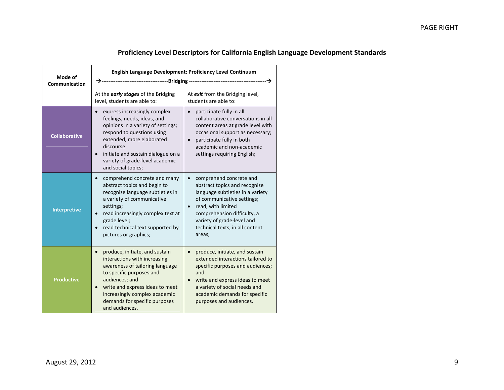| Mode of<br>Communication | English Language Development: Proficiency Level Continuum                                                                                                                                                                                                                                            |                                                                                                                                                                                                                                                            |  |
|--------------------------|------------------------------------------------------------------------------------------------------------------------------------------------------------------------------------------------------------------------------------------------------------------------------------------------------|------------------------------------------------------------------------------------------------------------------------------------------------------------------------------------------------------------------------------------------------------------|--|
|                          | At the early stages of the Bridging<br>level, students are able to:                                                                                                                                                                                                                                  | At exit from the Bridging level,<br>students are able to:                                                                                                                                                                                                  |  |
| <b>Collaborative</b>     | express increasingly complex<br>feelings, needs, ideas, and<br>opinions in a variety of settings;<br>respond to questions using<br>extended, more elaborated<br>discourse<br>initiate and sustain dialogue on a<br>$\bullet$<br>variety of grade-level academic<br>and social topics;                | participate fully in all<br>collaborative conversations in all<br>content areas at grade level with<br>occasional support as necessary;<br>participate fully in both<br>academic and non-academic<br>settings requiring English;                           |  |
| <b>Interpretive</b>      | comprehend concrete and many<br>$\bullet$<br>abstract topics and begin to<br>recognize language subtleties in<br>a variety of communicative<br>settings;<br>read increasingly complex text at<br>$\bullet$<br>grade level;<br>read technical text supported by<br>$\bullet$<br>pictures or graphics; | comprehend concrete and<br>abstract topics and recognize<br>language subtleties in a variety<br>of communicative settings;<br>read, with limited<br>comprehension difficulty, a<br>variety of grade-level and<br>technical texts, in all content<br>areas; |  |
| <b>Productive</b>        | produce, initiate, and sustain<br>$\bullet$<br>interactions with increasing<br>awareness of tailoring language<br>to specific purposes and<br>audiences; and<br>write and express ideas to meet<br>$\bullet$<br>increasingly complex academic<br>demands for specific purposes<br>and audiences.     | produce, initiate, and sustain<br>extended interactions tailored to<br>specific purposes and audiences;<br>and<br>write and express ideas to meet<br>a variety of social needs and<br>academic demands for specific<br>purposes and audiences.             |  |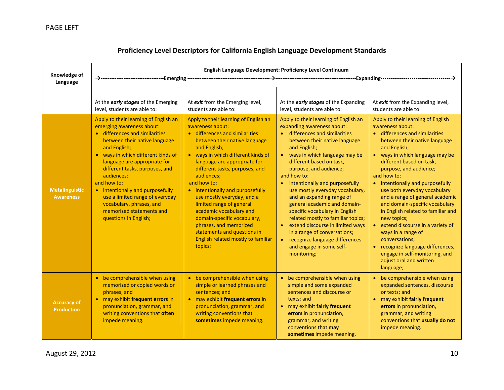| Knowledge of<br>Language                  | English Language Development: Proficiency Level Continuum                                                                                                                                                                                                                                                                                                                                                                                          |                                                                                                                                                                                                                                                                                                                                                                                                                                                                                                                                                     |                                                                                                                                                                                                                                                                                                                                                                                                                                                                                                                                                                                                                                                                |                                                                                                                                                                                                                                                                                                                                                                                                                                                                                                                                                                                                                                                     |
|-------------------------------------------|----------------------------------------------------------------------------------------------------------------------------------------------------------------------------------------------------------------------------------------------------------------------------------------------------------------------------------------------------------------------------------------------------------------------------------------------------|-----------------------------------------------------------------------------------------------------------------------------------------------------------------------------------------------------------------------------------------------------------------------------------------------------------------------------------------------------------------------------------------------------------------------------------------------------------------------------------------------------------------------------------------------------|----------------------------------------------------------------------------------------------------------------------------------------------------------------------------------------------------------------------------------------------------------------------------------------------------------------------------------------------------------------------------------------------------------------------------------------------------------------------------------------------------------------------------------------------------------------------------------------------------------------------------------------------------------------|-----------------------------------------------------------------------------------------------------------------------------------------------------------------------------------------------------------------------------------------------------------------------------------------------------------------------------------------------------------------------------------------------------------------------------------------------------------------------------------------------------------------------------------------------------------------------------------------------------------------------------------------------------|
|                                           |                                                                                                                                                                                                                                                                                                                                                                                                                                                    |                                                                                                                                                                                                                                                                                                                                                                                                                                                                                                                                                     |                                                                                                                                                                                                                                                                                                                                                                                                                                                                                                                                                                                                                                                                |                                                                                                                                                                                                                                                                                                                                                                                                                                                                                                                                                                                                                                                     |
|                                           | At the early stages of the Emerging<br>level, students are able to:                                                                                                                                                                                                                                                                                                                                                                                | At exit from the Emerging level,<br>students are able to:                                                                                                                                                                                                                                                                                                                                                                                                                                                                                           | At the early stages of the Expanding<br>level, students are able to:                                                                                                                                                                                                                                                                                                                                                                                                                                                                                                                                                                                           | At exit from the Expanding level,<br>students are able to:                                                                                                                                                                                                                                                                                                                                                                                                                                                                                                                                                                                          |
| <b>Metalinguistic</b><br><b>Awareness</b> | Apply to their learning of English an<br>emerging awareness about:<br>• differences and similarities<br>between their native language<br>and English;<br>• ways in which different kinds of<br>language are appropriate for<br>different tasks, purposes, and<br>audiences;<br>and how to:<br>• intentionally and purposefully<br>use a limited range of everyday<br>vocabulary, phrases, and<br>memorized statements and<br>questions in English; | Apply to their learning of English an<br>awareness about:<br>• differences and similarities<br>between their native language<br>and English;<br>• ways in which different kinds of<br>language are appropriate for<br>different tasks, purposes, and<br>audiences;<br>and how to:<br>• intentionally and purposefully<br>use mostly everyday, and a<br>limited range of general<br>academic vocabulary and<br>domain-specific vocabulary,<br>phrases, and memorized<br>statements and questions in<br>English related mostly to familiar<br>topics; | Apply to their learning of English an<br>expanding awareness about:<br>• differences and similarities<br>between their native language<br>and English;<br>ways in which language may be<br>$\bullet$<br>different based on task,<br>purpose, and audience;<br>and how to:<br>intentionally and purposefully<br>use mostly everyday vocabulary,<br>and an expanding range of<br>general academic and domain-<br>specific vocabulary in English<br>related mostly to familiar topics;<br>extend discourse in limited ways<br>$\bullet$<br>in a range of conversations;<br>recognize language differences<br>$\bullet$<br>and engage in some self-<br>monitoring; | Apply to their learning of English<br>awareness about:<br>• differences and similarities<br>between their native language<br>and English;<br>• ways in which language may be<br>different based on task,<br>purpose, and audience;<br>and how to:<br>intentionally and purposefully<br>use both everyday vocabulary<br>and a range of general academic<br>and domain-specific vocabulary<br>in English related to familiar and<br>new topics;<br>extend discourse in a variety of<br>ways in a range of<br>conversations;<br>recognize language differences,<br>$\bullet$<br>engage in self-monitoring, and<br>adjust oral and written<br>language; |
| <b>Accuracy of</b><br><b>Production</b>   | • be comprehensible when using<br>memorized or copied words or<br>phrases; and<br>• may exhibit frequent errors in<br>pronunciation, grammar, and<br>writing conventions that often<br>impede meaning.                                                                                                                                                                                                                                             | • be comprehensible when using<br>simple or learned phrases and<br>sentences; and<br>• may exhibit frequent errors in<br>pronunciation, grammar, and<br>writing conventions that<br>sometimes impede meaning.                                                                                                                                                                                                                                                                                                                                       | • be comprehensible when using<br>simple and some expanded<br>sentences and discourse or<br>texts; and<br>• may exhibit fairly frequent<br>errors in pronunciation,<br>grammar, and writing<br>conventions that may<br>sometimes impede meaning.                                                                                                                                                                                                                                                                                                                                                                                                               | be comprehensible when using<br>expanded sentences, discourse<br>or texts; and<br>may exhibit fairly frequent<br>$\bullet$<br>errors in pronunciation,<br>grammar, and writing<br>conventions that usually do not<br>impede meaning.                                                                                                                                                                                                                                                                                                                                                                                                                |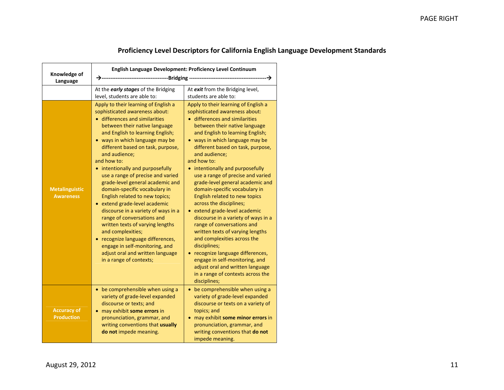| Knowledge of<br>Language                  | English Language Development: Proficiency Level Continuum                                                                                                                                                                                                                                                                                                                                                                                                                                                                                                                                                                                                                                                                                                                  |                                                                                                                                                                                                                                                                                                                                                                                                                                                                                                                                                                                                                                                                                                                                                                                                                                                          |  |
|-------------------------------------------|----------------------------------------------------------------------------------------------------------------------------------------------------------------------------------------------------------------------------------------------------------------------------------------------------------------------------------------------------------------------------------------------------------------------------------------------------------------------------------------------------------------------------------------------------------------------------------------------------------------------------------------------------------------------------------------------------------------------------------------------------------------------------|----------------------------------------------------------------------------------------------------------------------------------------------------------------------------------------------------------------------------------------------------------------------------------------------------------------------------------------------------------------------------------------------------------------------------------------------------------------------------------------------------------------------------------------------------------------------------------------------------------------------------------------------------------------------------------------------------------------------------------------------------------------------------------------------------------------------------------------------------------|--|
|                                           | At the early stages of the Bridging<br>level, students are able to:                                                                                                                                                                                                                                                                                                                                                                                                                                                                                                                                                                                                                                                                                                        | At exit from the Bridging level,<br>students are able to:                                                                                                                                                                                                                                                                                                                                                                                                                                                                                                                                                                                                                                                                                                                                                                                                |  |
| <b>Metalinguistic</b><br><b>Awareness</b> | Apply to their learning of English a<br>sophisticated awareness about:<br>• differences and similarities<br>between their native language<br>and English to learning English;<br>• ways in which language may be<br>different based on task, purpose,<br>and audience;<br>and how to:<br>• intentionally and purposefully<br>use a range of precise and varied<br>grade-level general academic and<br>domain-specific vocabulary in<br>English related to new topics;<br>• extend grade-level academic<br>discourse in a variety of ways in a<br>range of conversations and<br>written texts of varying lengths<br>and complexities;<br>• recognize language differences,<br>engage in self-monitoring, and<br>adjust oral and written language<br>in a range of contexts; | Apply to their learning of English a<br>sophisticated awareness about:<br>• differences and similarities<br>between their native language<br>and English to learning English;<br>• ways in which language may be<br>different based on task, purpose,<br>and audience;<br>and how to:<br>• intentionally and purposefully<br>use a range of precise and varied<br>grade-level general academic and<br>domain-specific vocabulary in<br>English related to new topics<br>across the disciplines;<br>• extend grade-level academic<br>discourse in a variety of ways in a<br>range of conversations and<br>written texts of varying lengths<br>and complexities across the<br>disciplines;<br>• recognize language differences,<br>engage in self-monitoring, and<br>adjust oral and written language<br>in a range of contexts across the<br>disciplines; |  |
| <b>Accuracy of</b><br><b>Production</b>   | • be comprehensible when using a<br>variety of grade-level expanded<br>discourse or texts; and<br>may exhibit some errors in<br>$\bullet$<br>pronunciation, grammar, and<br>writing conventions that usually<br>do not impede meaning.                                                                                                                                                                                                                                                                                                                                                                                                                                                                                                                                     | • be comprehensible when using a<br>variety of grade-level expanded<br>discourse or texts on a variety of<br>topics; and<br>may exhibit some minor errors in<br>$\bullet$<br>pronunciation, grammar, and<br>writing conventions that do not<br>impede meaning.                                                                                                                                                                                                                                                                                                                                                                                                                                                                                                                                                                                           |  |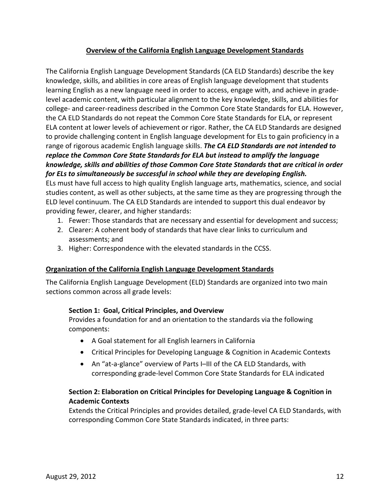## **Overview of the California English Language Development Standards**

<span id="page-13-0"></span>The California English Language Development Standards (CA ELD Standards) describe the key knowledge, skills, and abilities in core areas of English language development that students learning English as a new language need in order to access, engage with, and achieve in grade‐ level academic content, with particular alignment to the key knowledge, skills, and abilities for college‐ and career‐readiness described in the Common Core State Standards for ELA. However, the CA ELD Standards do not repeat the Common Core State Standards for ELA, or represent ELA content at lower levels of achievement or rigor. Rather, the CA ELD Standards are designed to provide challenging content in English language development for ELs to gain proficiency in a range of rigorous academic English language skills. *The CA ELD Standards are not intended to replace the Common Core State Standards for ELA but instead to amplify the language knowledge, skills and abilities of those Common Core State Standards that are critical in order for ELs to simultaneously be successful in school while they are developing English.* 

ELs must have full access to high quality English language arts, mathematics, science, and social studies content, as well as other subjects, at the same time as they are progressing through the ELD level continuum. The CA ELD Standards are intended to support this dual endeavor by providing fewer, clearer, and higher standards:

- 1. Fewer: Those standards that are necessary and essential for development and success;
- 2. Clearer: A coherent body of standards that have clear links to curriculum and assessments; and
- 3. Higher: Correspondence with the elevated standards in the CCSS.

### <span id="page-13-1"></span>**Organization of the California English Language Development Standards**

The California English Language Development (ELD) Standards are organized into two main sections common across all grade levels:

### **Section 1: Goal, Critical Principles, and Overview**

Provides a foundation for and an orientation to the standards via the following components:

- A Goal statement for all English learners in California
- Critical Principles for Developing Language & Cognition in Academic Contexts
- An "at-a-glance" overview of Parts I–III of the CA ELD Standards, with corresponding grade‐level Common Core State Standards for ELA indicated

## **Section 2: Elaboration on Critical Principles for Developing Language & Cognition in Academic Contexts**

Extends the Critical Principles and provides detailed, grade‐level CA ELD Standards, with corresponding Common Core State Standards indicated, in three parts: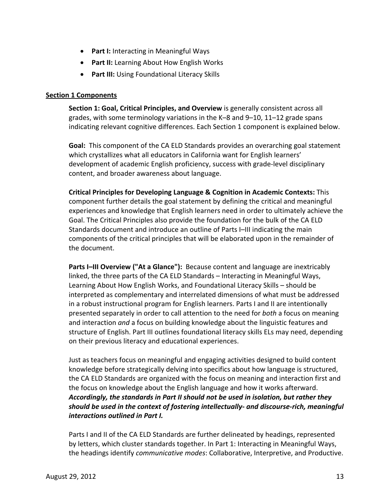- **Part I:** Interacting in Meaningful Ways
- **Part II:** Learning About How English Works
- **Part III:** Using Foundational Literacy Skills

#### <span id="page-14-0"></span>**Section 1 Components**

**Section 1: Goal, Critical Principles, and Overview** is generally consistent across all grades, with some terminology variations in the K–8 and 9–10, 11–12 grade spans indicating relevant cognitive differences. Each Section 1 component is explained below.

Goal: This component of the CA ELD Standards provides an overarching goal statement which crystallizes what all educators in California want for English learners' development of academic English proficiency, success with grade‐level disciplinary content, and broader awareness about language.

**Critical Principles for Developing Language & Cognition in Academic Contexts:** This component further details the goal statement by defining the critical and meaningful experiences and knowledge that English learners need in order to ultimately achieve the Goal. The Critical Principles also provide the foundation for the bulk of the CA ELD Standards document and introduce an outline of Parts I–III indicating the main components of the critical principles that will be elaborated upon in the remainder of the document.

**Parts I–III Overview ("At a Glance"):** Because content and language are inextricably linked, the three parts of the CA ELD Standards – Interacting in Meaningful Ways, Learning About How English Works, and Foundational Literacy Skills – should be interpreted as complementary and interrelated dimensions of what must be addressed in a robust instructional program for English learners. Parts I and II are intentionally presented separately in order to call attention to the need for *both* a focus on meaning and interaction *and* a focus on building knowledge about the linguistic features and structure of English. Part III outlines foundational literacy skills ELs may need, depending on their previous literacy and educational experiences.

Just as teachers focus on meaningful and engaging activities designed to build content knowledge before strategically delving into specifics about how language is structured, the CA ELD Standards are organized with the focus on meaning and interaction first and the focus on knowledge about the English language and how it works afterward. *Accordingly, the standards in Part II should not be used in isolation, but rather they should be used in the context of fostering intellectually‐ and discourse‐rich, meaningful interactions outlined in Part I.*

Parts I and II of the CA ELD Standards are further delineated by headings, represented by letters, which cluster standards together. In Part 1: Interacting in Meaningful Ways, the headings identify *communicative modes*: Collaborative, Interpretive, and Productive.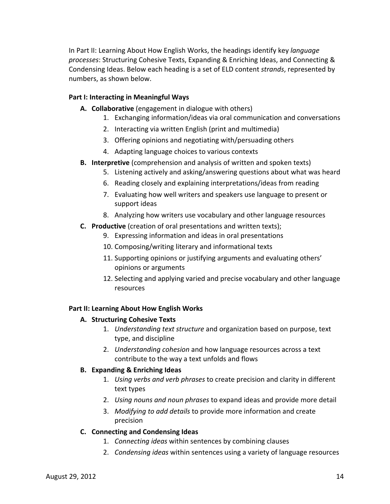In Part II: Learning About How English Works, the headings identify key *language processes*: Structuring Cohesive Texts, Expanding & Enriching Ideas, and Connecting & Condensing Ideas. Below each heading is a set of ELD content *strands*, represented by numbers, as shown below.

## **Part I: Interacting in Meaningful Ways**

- **A. Collaborative** (engagement in dialogue with others)
	- 1. Exchanging information/ideas via oral communication and conversations
	- 2. Interacting via written English (print and multimedia)
	- 3. Offering opinions and negotiating with/persuading others
	- 4. Adapting language choices to various contexts
- **B. Interpretive** (comprehension and analysis of written and spoken texts)
	- 5. Listening actively and asking/answering questions about what was heard
	- 6. Reading closely and explaining interpretations/ideas from reading
	- 7. Evaluating how well writers and speakers use language to present or support ideas
	- 8. Analyzing how writers use vocabulary and other language resources
- **C. Productive** (creation of oral presentations and written texts);
	- 9. Expressing information and ideas in oral presentations
	- 10. Composing/writing literary and informational texts
	- 11. Supporting opinions or justifying arguments and evaluating others' opinions or arguments
	- 12. Selecting and applying varied and precise vocabulary and other language resources

### **Part II: Learning About How English Works**

### **A. Structuring Cohesive Texts**

- 1. *Understanding text structure* and organization based on purpose, text type, and discipline
- 2. *Understanding cohesion* and how language resources across a text contribute to the way a text unfolds and flows

### **B. Expanding & Enriching Ideas**

- 1. *Using verbs and verb phrases* to create precision and clarity in different text types
- 2. *Using nouns and noun phrases* to expand ideas and provide more detail
- 3. *Modifying to add details* to provide more information and create precision

### **C. Connecting and Condensing Ideas**

- 1. *Connecting ideas* within sentences by combining clauses
- 2. *Condensing ideas* within sentences using a variety of language resources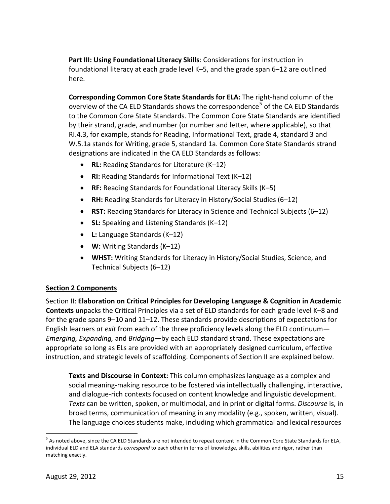**Part III: Using Foundational Literacy Skills**: Considerations for instruction in foundational literacy at each grade level K–5, and the grade span 6–12 are outlined here.

**Corresponding Common Core State Standards for ELA:** The right‐hand column of the overview of the CA ELD Standards shows the correspondence<sup>[5](#page-16-1)</sup> of the CA ELD Standards to the Common Core State Standards. The Common Core State Standards are identified by their strand, grade, and number (or number and letter, where applicable), so that RI.4.3, for example, stands for Reading, Informational Text, grade 4, standard 3 and W.5.1a stands for Writing, grade 5, standard 1a. Common Core State Standards strand designations are indicated in the CA ELD Standards as follows:

- **RL:** Reading Standards for Literature (K–12)
- **RI:** Reading Standards for Informational Text (K–12)
- **RF:** Reading Standards for Foundational Literacy Skills (K–5)
- **RH:** Reading Standards for Literacy in History/Social Studies (6–12)
- **RST:** Reading Standards for Literacy in Science and Technical Subjects (6–12)
- **SL:** Speaking and Listening Standards (K–12)
- **L:** Language Standards (K–12)
- **W:** Writing Standards (K–12)
- **WHST:** Writing Standards for Literacy in History/Social Studies, Science, and Technical Subjects (6–12)

## <span id="page-16-0"></span>**Section 2 Components**

Section II: **Elaboration on Critical Principles for Developing Language & Cognition in Academic Contexts** unpacks the Critical Principles via a set of ELD standards for each grade level K–8 and for the grade spans 9–10 and 11–12. These standards provide descriptions of expectations for English learners *at exit* from each of the three proficiency levels along the ELD continuum— *Emerging, Expanding,* and *Bridging*—by each ELD standard strand. These expectations are appropriate so long as ELs are provided with an appropriately designed curriculum, effective instruction, and strategic levels of scaffolding. Components of Section II are explained below.

**Texts and Discourse in Context:** This column emphasizes language as a complex and social meaning-making resource to be fostered via intellectually challenging, interactive, and dialogue‐rich contexts focused on content knowledge and linguistic development. *Texts* can be written, spoken, or multimodal, and in print or digital forms. *Discourse* is, in broad terms, communication of meaning in any modality (e.g., spoken, written, visual). The language choices students make, including which grammatical and lexical resources

<span id="page-16-1"></span> $5$  As noted above, since the CA ELD Standards are not intended to repeat content in the Common Core State Standards for ELA, individual ELD and ELA standards *correspond* to each other in terms of knowledge, skills, abilities and rigor, rather than matching exactly.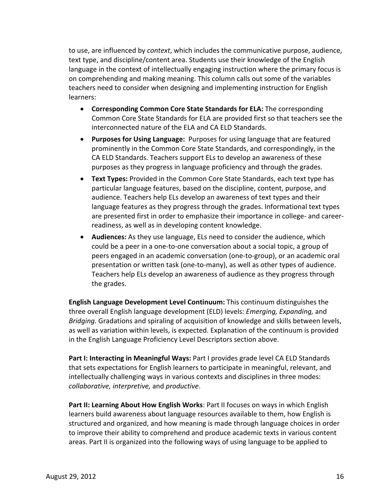to use, are influenced by *context*, which includes the communicative purpose, audience, text type, and discipline/content area. Students use their knowledge of the English language in the context of intellectually engaging instruction where the primary focus is on comprehending and making meaning. This column calls out some of the variables teachers need to consider when designing and implementing instruction for English learners:

- **Corresponding Common Core State Standards for ELA:** The corresponding Common Core State Standards for ELA are provided first so that teachers see the interconnected nature of the ELA and CA ELD Standards.
- **Purposes for Using Language:** Purposes for using language that are featured prominently in the Common Core State Standards, and correspondingly, in the CA ELD Standards. Teachers support ELs to develop an awareness of these purposes as they progress in language proficiency and through the grades.
- **Text Types:** Provided in the Common Core State Standards, each text type has particular language features, based on the discipline, content, purpose, and audience. Teachers help ELs develop an awareness of text types and their language features as they progress through the grades. Informational text types are presented first in order to emphasize their importance in college- and careerreadiness, as well as in developing content knowledge.
- **Audiences:** As they use language, ELs need to consider the audience, which could be a peer in a one‐to‐one conversation about a social topic, a group of peers engaged in an academic conversation (one‐to‐group), or an academic oral presentation or written task (one‐to‐many), as well as other types of audience. Teachers help ELs develop an awareness of audience as they progress through the grades.

**English Language Development Level Continuum:** This continuum distinguishes the three overall English language development (ELD) levels: *Emerging, Expanding,* and *Bridging.* Gradations and spiraling of acquisition of knowledge and skills between levels, as well as variation within levels, is expected. Explanation of the continuum is provided in the English Language Proficiency Level Descriptors section above.

**Part I: Interacting in Meaningful Ways:** Part I provides grade level CA ELD Standards that sets expectations for English learners to participate in meaningful, relevant, and intellectually challenging ways in various contexts and disciplines in three modes: *collaborative, interpretive,* and *productive*.

**Part II: Learning About How English Works**: Part II focuses on ways in which English learners build awareness about language resources available to them, how English is structured and organized, and how meaning is made through language choices in order to improve their ability to comprehend and produce academic texts in various content areas. Part II is organized into the following ways of using language to be applied to